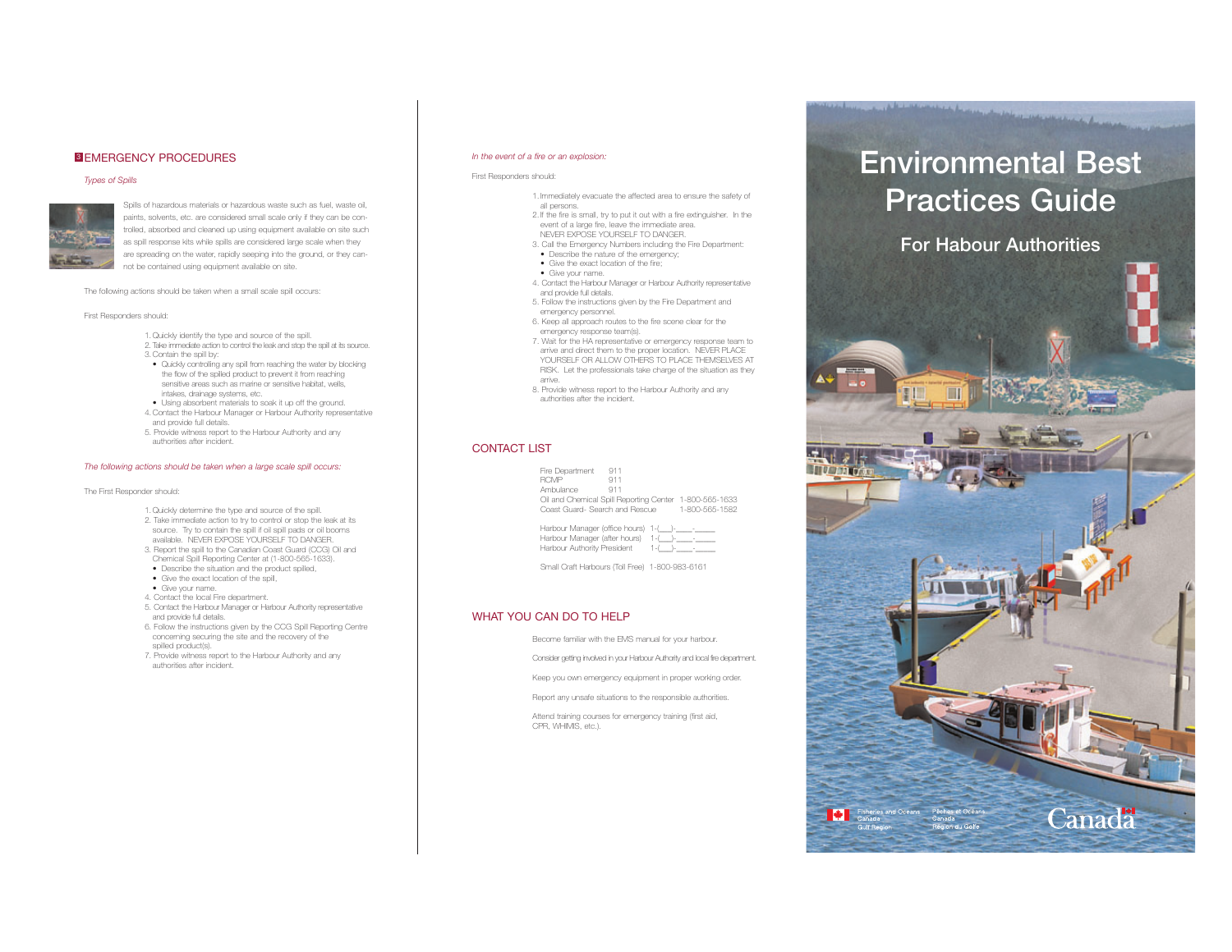## **3 EMERGENCY PROCEDURES**

#### *Types of Spills*



Spills of hazardous materials or hazardous waste such as fuel, waste oil, paints, solvents, etc. are considered small scale only if they can be controlled, absorbed and cleaned up using equipment available on site such as spill response kits while spills are considered large scale when they are spreading on the water, rapidly seeping into the ground, or they cannot be contained using equipment available on site.

The following actions should be taken when a small scale spill occurs:

#### First Responders should:

- 1. Quickly identify the type and source of the spill.
	- 2. Take immediate action to control the leak and stop the spill at its source.
	- 3. Contain the spill by:
	- Quickly controlling any spill from reaching the water by blocking the flow of the spilled product to prevent it from reaching sensitive areas such as marine or sensitive habitat, wells, intakes, drainage systems, etc.
	- Using absorbent materials to soak it up off the ground. 4. Contact the Harbour Manager or Harbour Authority representative and provide full details.
- 5. Provide witness report to the Harbour Authority and any authorities after incident.

#### *The following actions should be taken when a large scale spill occurs:*

#### The First Responder should:

- 1. Quickly determine the type and source of the spill.
- 2. Take immediate action to try to control or stop the leak at its source. Try to contain the spill if oil spill pads or oil booms available. NEVER EXPOSE YOURSELF TO DANGER.
- 3. Report the spill to the Canadian Coast Guard (CCG) Oil and Chemical Spill Reporting Center at (1-800-565-1633).
- Describe the situation and the product spilled. • Give the exact location of the spill,
- 
- Give your name.
- 4. Contact the local Fire department.
- 5. Contact the Harbour Manager or Harbour Authority representative and provide full details. 6. Follow the instructions given by the CCG Spill Reporting Centre
- concerning securing the site and the recovery of the spilled product(s).
- 7. Provide witness report to the Harbour Authority and any authorities after incident.

## *In the event of a fire or an explosion:*

#### First Responders should:

- 1. Immediately evacuate the affected area to ensure the safety of all persons.
- 2. If the fire is small, try to put it out with a fire extinguisher. In the event of a large fire, leave the immediate area. NEVER EXPOSE YOURSELF TO DANGER.
- 3. Call the Emergency Numbers including the Fire Department: • Describe the nature of the emergency;
- Give the exact location of the fire;
- Give your name.
- 4. Contact the Harbour Manager or Harbour Authority representative and provide full details.
- 5. Follow the instructions given by the Fire Department and emergency personnel.
- 6. Keep all approach routes to the fire scene clear for the emergency response team(s).
- 7. Wait for the HA representative or emergency response team to arrive and direct them to the proper location. NEVER PLACE YOURSELF OR ALLOW OTHERS TO PLACE THEMSELVES AT RISK. Let the professionals take charge of the situation as they arrive.
- 8. Provide witness report to the Harbour Authority and any authorities after the incident.

## CONTACT LIST

| Fire Department                                        | 911            |  |
|--------------------------------------------------------|----------------|--|
| <b>RCMP</b>                                            | 911            |  |
| Ambulance                                              | 911            |  |
| Oil and Chemical Spill Reporting Center 1-800-565-1633 |                |  |
| Coast Guard- Search and Rescue                         | 1-800-565-1582 |  |
|                                                        |                |  |

| Harbour Manager (office hours) 1-(    |         |
|---------------------------------------|---------|
| Harbour Manager (after hours) 1-(__)- |         |
| Harbour Authority President           | $1 - ($ |

Small Craft Harbours (Toll Free) 1-800-983-6161

## WHAT YOU CAN DO TO HELP

Become familiar with the EMS manual for your harbour. Consider getting involved in your Harbour Authority and local fire department. Keep you own emergency equipment in proper working order.

Report any unsafe situations to the responsible authorities.

Attend training courses for emergency training (first aid, CPR, WHIMIS, etc.).

# **Environmental Best Practices Guide**

Charles Harrison

**For Habour Authorities**